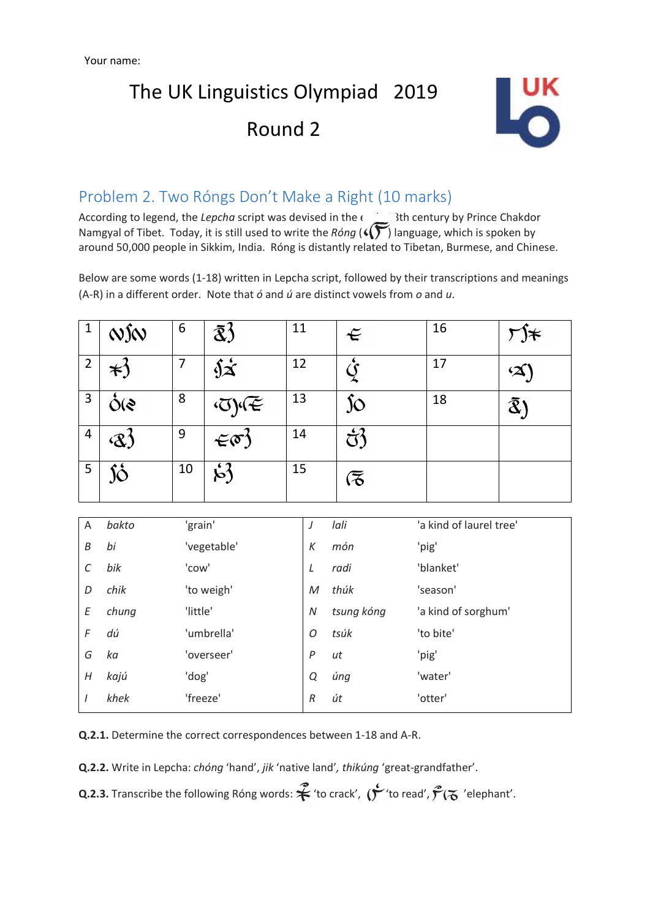

### Problem 2. Two Róngs Don't Make a Right (10 marks)

According to legend, the *Lepcha* script was devised in the early 18th century by Prince Chakdor Namgyal of Tibet. Today, it is still used to write the *Róng* ( $\widetilde{S}$ ) language, which is spoken by around 50,000 people in Sikkim, India. Róng is distantly related to Tibetan, Burmese, and Chinese.

Below are some words (1-18) written in Lepcha script, followed by their transcriptions and meanings (A-R) in a different order. Note that *ó* and *ú* are distinct vowels from *o* and *u*.

| $\mathbf 1$    | $\mathcal{N}$ j $\mathcal{N}$ | 6  | $\bar{\mathcal{X}}$       | 11 | $\tilde{\epsilon}$       | 16 |                      |
|----------------|-------------------------------|----|---------------------------|----|--------------------------|----|----------------------|
| $\overline{2}$ | $\bm{\ast}$                   |    | $\partial \mathcal{A}$    | 12 | $\zeta$                  | 17 | <u>s</u>             |
| 3              | Ó(È                           | 8  | $\widetilde{\mathcal{C}}$ | 13 | $\overline{\mathcal{X}}$ | 18 | $\bar{\mathfrak{X}}$ |
| 4              | $\mathcal{R}'$                | 9  | $\in \mathfrak{S}'$       | 14 | <del>Ś</del> }           |    |                      |
| 5              |                               | 10 | <b>S3</b>                 | 15 | て                        |    |                      |

| Α | bakto | 'grain'     | J            | lali       | 'a kind of laurel tree' |
|---|-------|-------------|--------------|------------|-------------------------|
| B | bi    | 'vegetable' | К            | món        | 'pig'                   |
|   | bik   | 'cow'       | L            | radi       | 'blanket'               |
| D | chik  | 'to weigh'  | M            | thúk       | 'season'                |
| E | chung | 'little'    | N            | tsung kóng | 'a kind of sorghum'     |
| F | dú    | 'umbrella'  | O            | tsúk       | 'to bite'               |
| G | ka    | 'overseer'  | $\mathsf{P}$ | ut         | 'pig'                   |
| Н | kajú  | 'dog'       | Q            | úng        | 'water'                 |
|   | khek  | 'freeze'    | R            | út         | 'otter'                 |

**Q.2.1.** Determine the correct correspondences between 1-18 and A-R.

**Q.2.2.** Write in Lepcha: *chóng* 'hand', *jik* 'native land'*, thikúng* 'great-grandfather'.

**Q.2.3.** Transcribe the following Róng words:  $\hat{\mathcal{F}}$  'to crack',  $(\hat{\mathcal{F}}')$  to read',  $\hat{\mathcal{F}}(\mathcal{F})$  'elephant'.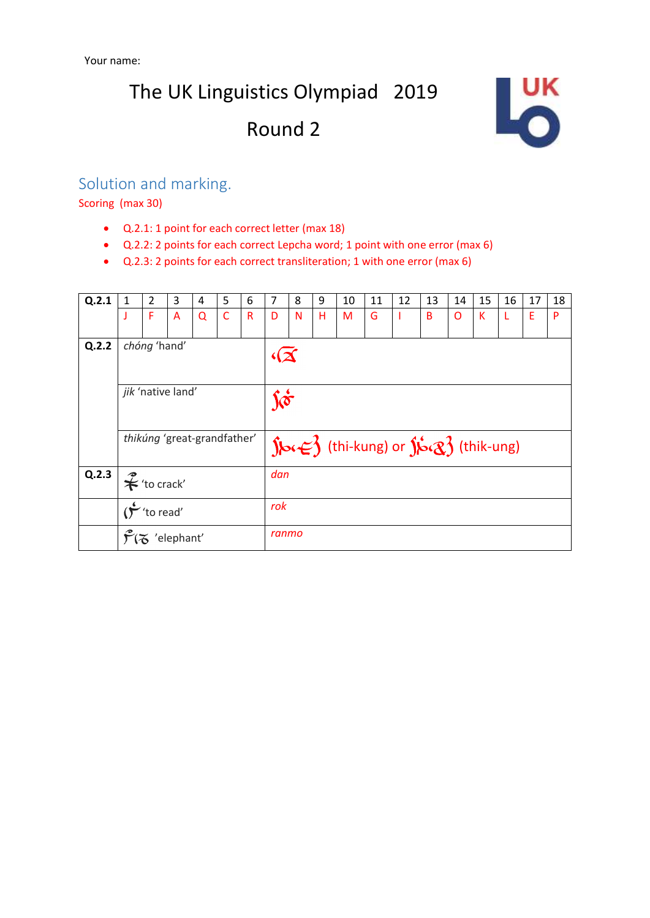

#### Solution and marking.

Scoring (max 30)

- Q.2.1: 1 point for each correct letter (max 18)
- Q.2.2: 2 points for each correct Lepcha word; 1 point with one error (max 6)
- Q.2.3: 2 points for each correct transliteration; 1 with one error (max 6)

| Q.2.1 | 1                                  | 2 | 3                           | 4 | 5            | 6 | 7                                                        | 8                   | 9 | 10 | 11 | 12 | 13 | 14 | 15 | 16 | 17 | 18 |  |  |
|-------|------------------------------------|---|-----------------------------|---|--------------|---|----------------------------------------------------------|---------------------|---|----|----|----|----|----|----|----|----|----|--|--|
|       | J                                  | F | A                           | Q | $\mathsf{C}$ | R | D                                                        | N                   | н | M  | G  |    | B  | O  | К  |    | Ε  | P  |  |  |
| Q.2.2 | chóng 'hand'                       |   |                             |   |              |   |                                                          | $\sqrt{\mathbf{X}}$ |   |    |    |    |    |    |    |    |    |    |  |  |
|       | jik 'native land'                  |   |                             |   |              |   |                                                          | $j$ c $\sigma$      |   |    |    |    |    |    |    |    |    |    |  |  |
|       |                                    |   | thikúng 'great-grandfather' |   |              |   | $\int \sin \xi$ (thi-kung) or $\int \sin \xi$ (thik-ung) |                     |   |    |    |    |    |    |    |    |    |    |  |  |
| Q.2.3 | $\hat{\mathcal{F}}$ to crack'      |   |                             |   |              |   | dan                                                      |                     |   |    |    |    |    |    |    |    |    |    |  |  |
|       | $(f^{\prime})$ to read'            |   |                             |   |              |   | rok                                                      |                     |   |    |    |    |    |    |    |    |    |    |  |  |
|       | $\mathcal{C}\mathbf{S}$ 'elephant' |   |                             |   |              |   | ranmo                                                    |                     |   |    |    |    |    |    |    |    |    |    |  |  |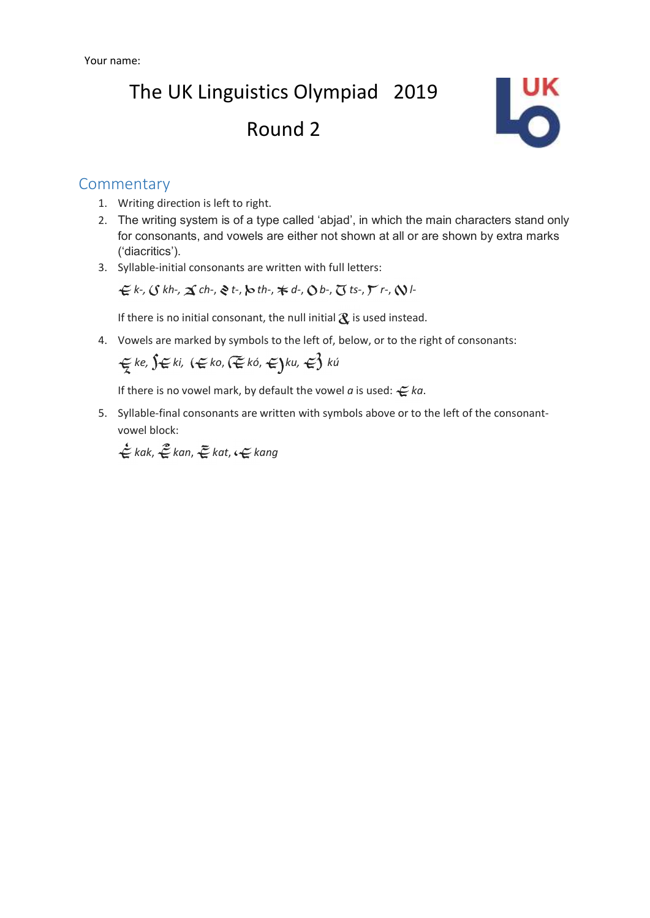

#### **Commentary**

- 1. Writing direction is left to right.
- 2. The writing system is of a type called 'abjad', in which the main characters stand only for consonants, and vowels are either not shown at all or are shown by extra marks ('diacritics').
- 3. Syllable-initial consonants are written with full letters:

*k-, kh-, ch-*, *t-*, *th-*, *d-*, *b-*, *ts-*, *r-*, *l-*

If there is no initial consonant, the null initial  $\mathcal R$  is used instead.

4. Vowels are marked by symbols to the left of, below, or to the right of consonants:

$$
\mathcal{L}_{\tilde{\lambda}} \text{ ke, } \hat{\lambda} \in \text{ki, } (\mathcal{L} \text{ ko, } (\tilde{\mathcal{L}} \text{ ko, } \mathcal{L}) \text{ku, } \mathcal{L} \}
$$
 kü

If there is no vowel mark, by default the vowel  $a$  is used:  $\leq ka$ .

5. Syllable-final consonants are written with symbols above or to the left of the consonantvowel block:

*kak*, *kan*, *kat*, *kang*